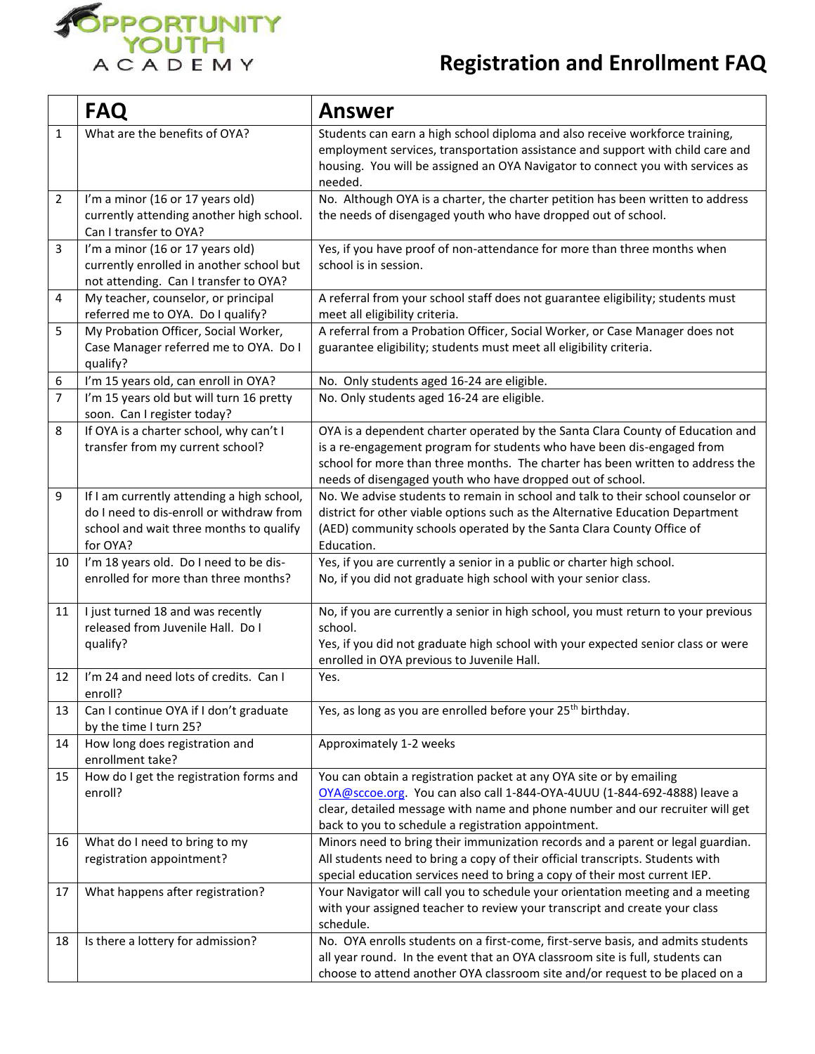

## **Registration and Enrollment FAQ**

|                | <b>FAQ</b>                                                                                                                                    | <b>Answer</b>                                                                                                                                                                                                                                                                                           |
|----------------|-----------------------------------------------------------------------------------------------------------------------------------------------|---------------------------------------------------------------------------------------------------------------------------------------------------------------------------------------------------------------------------------------------------------------------------------------------------------|
| $\mathbf{1}$   | What are the benefits of OYA?                                                                                                                 | Students can earn a high school diploma and also receive workforce training,<br>employment services, transportation assistance and support with child care and<br>housing. You will be assigned an OYA Navigator to connect you with services as<br>needed.                                             |
| $\overline{2}$ | I'm a minor (16 or 17 years old)<br>currently attending another high school.<br>Can I transfer to OYA?                                        | No. Although OYA is a charter, the charter petition has been written to address<br>the needs of disengaged youth who have dropped out of school.                                                                                                                                                        |
| 3              | I'm a minor (16 or 17 years old)<br>currently enrolled in another school but<br>not attending. Can I transfer to OYA?                         | Yes, if you have proof of non-attendance for more than three months when<br>school is in session.                                                                                                                                                                                                       |
| 4              | My teacher, counselor, or principal<br>referred me to OYA. Do I qualify?                                                                      | A referral from your school staff does not guarantee eligibility; students must<br>meet all eligibility criteria.                                                                                                                                                                                       |
| 5              | My Probation Officer, Social Worker,<br>Case Manager referred me to OYA. Do I<br>qualify?                                                     | A referral from a Probation Officer, Social Worker, or Case Manager does not<br>guarantee eligibility; students must meet all eligibility criteria.                                                                                                                                                     |
| 6              | I'm 15 years old, can enroll in OYA?                                                                                                          | No. Only students aged 16-24 are eligible.                                                                                                                                                                                                                                                              |
| $\overline{7}$ | I'm 15 years old but will turn 16 pretty<br>soon. Can I register today?                                                                       | No. Only students aged 16-24 are eligible.                                                                                                                                                                                                                                                              |
| 8              | If OYA is a charter school, why can't I<br>transfer from my current school?                                                                   | OYA is a dependent charter operated by the Santa Clara County of Education and<br>is a re-engagement program for students who have been dis-engaged from<br>school for more than three months. The charter has been written to address the<br>needs of disengaged youth who have dropped out of school. |
| 9              | If I am currently attending a high school,<br>do I need to dis-enroll or withdraw from<br>school and wait three months to qualify<br>for OYA? | No. We advise students to remain in school and talk to their school counselor or<br>district for other viable options such as the Alternative Education Department<br>(AED) community schools operated by the Santa Clara County Office of<br>Education.                                                |
| 10             | I'm 18 years old. Do I need to be dis-<br>enrolled for more than three months?                                                                | Yes, if you are currently a senior in a public or charter high school.<br>No, if you did not graduate high school with your senior class.                                                                                                                                                               |
| 11             | I just turned 18 and was recently<br>released from Juvenile Hall. Do I<br>qualify?                                                            | No, if you are currently a senior in high school, you must return to your previous<br>school.<br>Yes, if you did not graduate high school with your expected senior class or were<br>enrolled in OYA previous to Juvenile Hall.                                                                         |
| 12             | I'm 24 and need lots of credits. Can I<br>enroll?                                                                                             | Yes.                                                                                                                                                                                                                                                                                                    |
| 13             | Can I continue OYA if I don't graduate<br>by the time I turn 25?                                                                              | Yes, as long as you are enrolled before your 25 <sup>th</sup> birthday.                                                                                                                                                                                                                                 |
| 14             | How long does registration and<br>enrollment take?                                                                                            | Approximately 1-2 weeks                                                                                                                                                                                                                                                                                 |
| 15             | How do I get the registration forms and<br>enroll?                                                                                            | You can obtain a registration packet at any OYA site or by emailing<br>OYA@sccoe.org. You can also call 1-844-OYA-4UUU (1-844-692-4888) leave a<br>clear, detailed message with name and phone number and our recruiter will get<br>back to you to schedule a registration appointment.                 |
| 16             | What do I need to bring to my<br>registration appointment?                                                                                    | Minors need to bring their immunization records and a parent or legal guardian.<br>All students need to bring a copy of their official transcripts. Students with<br>special education services need to bring a copy of their most current IEP.                                                         |
| 17             | What happens after registration?                                                                                                              | Your Navigator will call you to schedule your orientation meeting and a meeting<br>with your assigned teacher to review your transcript and create your class<br>schedule.                                                                                                                              |
| 18             | Is there a lottery for admission?                                                                                                             | No. OYA enrolls students on a first-come, first-serve basis, and admits students<br>all year round. In the event that an OYA classroom site is full, students can<br>choose to attend another OYA classroom site and/or request to be placed on a                                                       |